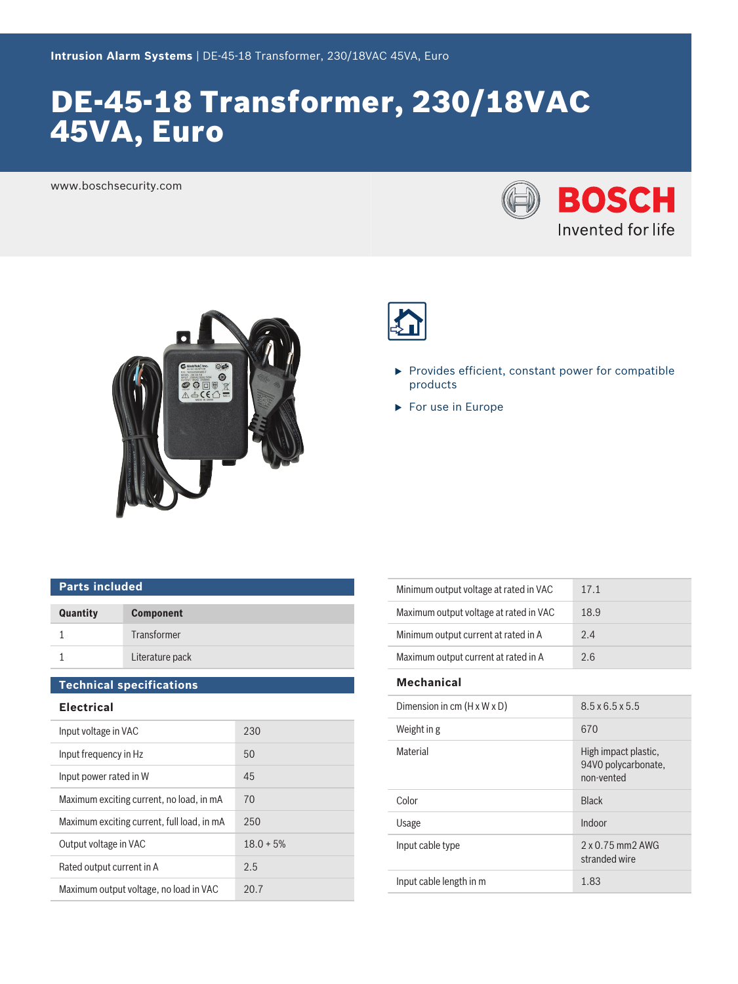# DE-45-18 Transformer, 230/18VAC 45VA, Euro

www.boschsecurity.com







- $\blacktriangleright$  Provides efficient, constant power for compatible products
- $\blacktriangleright$  For use in Europe

# **Parts included**

| Quantity | <b>Component</b> |
|----------|------------------|
|          | Transformer      |
|          | Literature pack  |

## **Technical specifications**

### **Electrical**

| Input voltage in VAC                       | 230         |
|--------------------------------------------|-------------|
| Input frequency in Hz                      | 50          |
| Input power rated in W                     | 45          |
| Maximum exciting current, no load, in mA   | 70          |
| Maximum exciting current, full load, in mA | 250         |
| Output voltage in VAC                      | $18.0 + 5%$ |
| Rated output current in A                  | 2.5         |
| Maximum output voltage, no load in VAC     | 20.7        |

| Minimum output voltage at rated in VAC | 17.1 |
|----------------------------------------|------|
| Maximum output voltage at rated in VAC | 18.9 |
| Minimum output current at rated in A   | 2.4  |
| Maximum output current at rated in A   | ን 6  |

#### **Mechanical**

| Dimension in cm $(H \times W \times D)$ | $8.5 \times 6.5 \times 5.5$                               |
|-----------------------------------------|-----------------------------------------------------------|
| Weight in g                             | 670                                                       |
| Material                                | High impact plastic,<br>94V0 polycarbonate,<br>non-vented |
| Color                                   | <b>Black</b>                                              |
| Usage                                   | Indoor                                                    |
| Input cable type                        | $2 \times 0.75$ mm $2$ AWG<br>stranded wire               |
| Input cable length in m                 | 1.83                                                      |